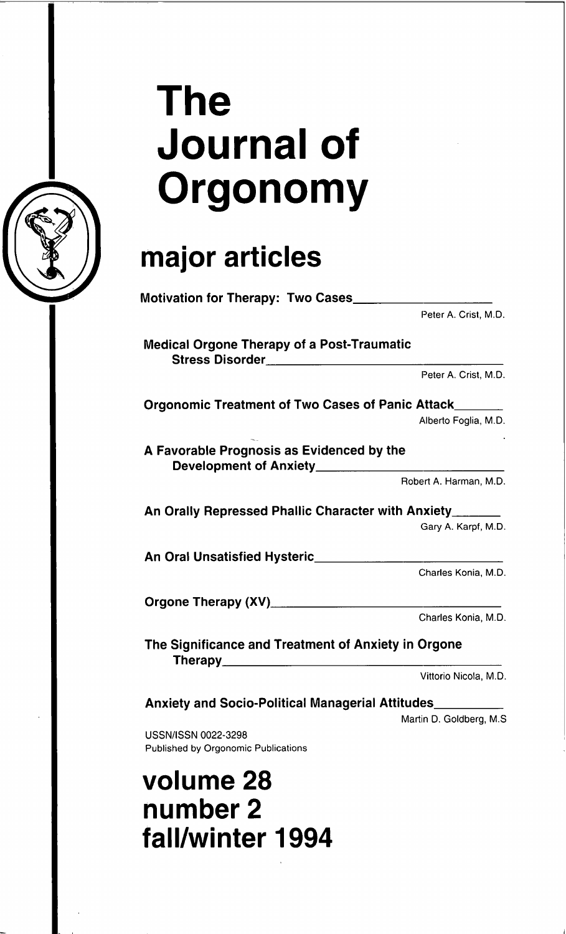

# **The** Journal of **Orgonomy**

# **major articles**

|                                                                                             | Peter A. Crist, M.D.     |
|---------------------------------------------------------------------------------------------|--------------------------|
| <b>Medical Orgone Therapy of a Post-Traumatic</b><br>Stress Disorder_______________________ |                          |
|                                                                                             | Peter A. Crist. M.D.     |
| Orgonomic Treatment of Two Cases of Panic Attack______                                      |                          |
|                                                                                             | Alberto Foglia, M.D.     |
| A Favorable Prognosis as Evidenced by the                                                   |                          |
|                                                                                             | Robert A. Harman, M.D.   |
| An Orally Repressed Phallic Character with Anxiety______                                    |                          |
|                                                                                             | Gary A. Karpf, M.D.      |
|                                                                                             |                          |
|                                                                                             | Charles Konia, M.D.      |
|                                                                                             |                          |
|                                                                                             | Charles Konia, M.D.      |
| The Significance and Treatment of Anxiety in Orgone                                         |                          |
|                                                                                             | Vittorio Nicola, M.D.    |
| Anxiety and Socio-Political Managerial Attitudes                                            |                          |
|                                                                                             | Martin D. Goldberg, M.S. |
| USSN/ISSN 0022-3298<br>Published by Orgonomic Publications                                  |                          |
| volume 28                                                                                   |                          |

**volume 28 number 2 fall/winter 1994**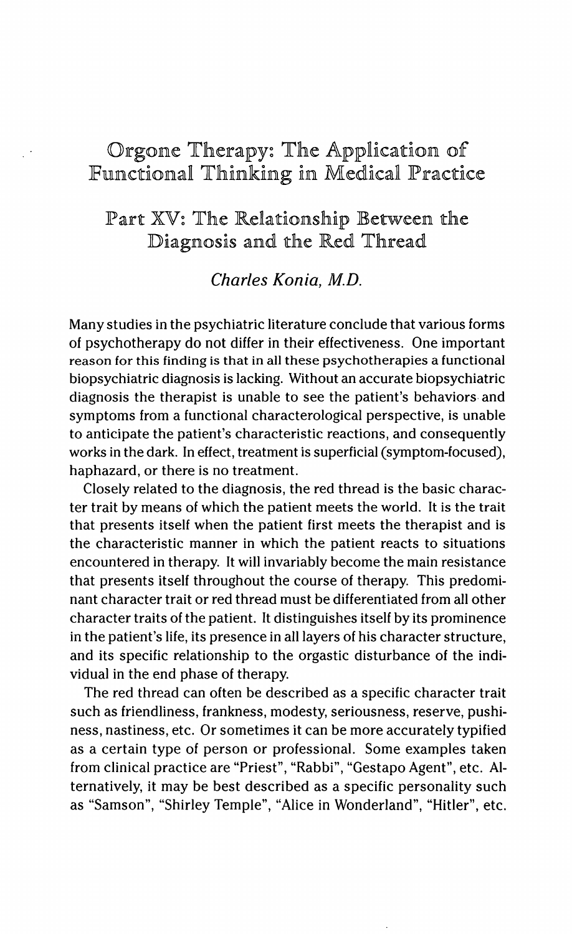## Orgone Therapy: The Application of Functional Thinking in Medical Practice

### Part XV: The Relationship Between the Diagnosis and the Red Thread

#### Charles Konia, M.D.

Many studies in the psychiatric literature conclude that various forms of psychotherapy do not differ in their effectiveness. One important reason for this finding is that in all these psychotherapies a functional biopsychiatric diagnosis is lacking. Without an accurate biopsychiatric diagnosis the therapist is unable to see the patient's behaviors and symptoms from a functional characterological perspective, is unable to anticipate the patient's characteristic reactions, and consequently works in the dark. In effect, treatment is superficial (symptom-focused), haphazard, or there is no treatment.

Closely related to the diagnosis, the red thread is the basic character trait by means of which the patient meets the world. It is the trait that presents itself when the patient first meets the therapist and is the characteristic manner in which the patient reacts to situations encountered in therapy. It will invariably become the main resistance that presents itself throughout the course of therapy. This predominant character trait or red thread must be differentiated from all other character traits of the patient. It distinguishes itself by its prominence in the patient's life, its presence in all layers of his character structure, and its specific relationship to the orgastic disturbance of the individual in the end phase of therapy.

The red thread can often be described as a specific character trait such as friendliness, frankness, modesty, seriousness, reserve, pushiness, nastiness, etc. Or sometimes it can be more accurately typified as a certain type of person or professional. Some examples taken from clinical practice are "Priest", "Rabbi", "Gestapo Agent", etc. Alternatively, it may be best described as a specific personality such as "Samson", "Shirley Temple", "Alice in Wonderland", "Hitler", etc.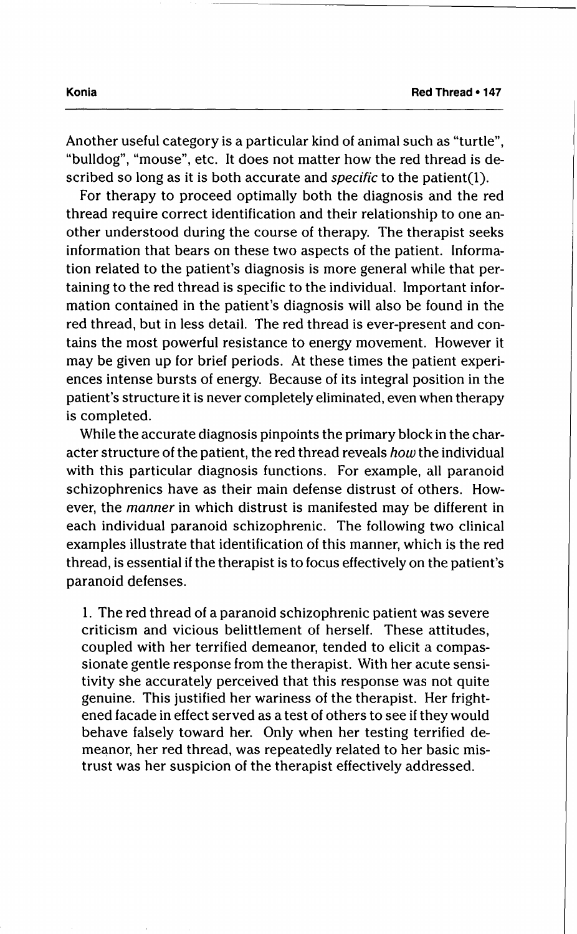For therapy to proceed optimally both the diagnosis and the red thread require correct identification and their relationship to one another understood during the course of therapy. The therapist seeks information that bears on these two aspects of the patient. Information related to the patient's diagnosis is more general while that pertaining to the red thread is specific to the individual. Important information contained in the patient's diagnosis will also be found in the red thread, but in less detail. The red thread is ever-present and contains the most powerful resistance to energy movement. However it may be given up for brief periods. At these times the patient experiences intense bursts of energy. Because of its integral position in the patient's structure it is never completely eliminated, even when therapy is completed.

While the accurate diagnosis pinpoints the primary block in the character structure of the patient, the red thread reveals how the individual with this particular diagnosis functions. For example, all paranoid schizophrenics have as their main defense distrust of others. However, the *manner* in which distrust is manifested may be different in each individual paranoid schizophrenic. The following two clinical examples illustrate that identification of this manner, which is the red thread, is essential if the therapist is to focus effectively on the patient's paranoid defenses.

1. The red thread of a paranoid schizophrenic patient was severe criticism and vicious belittlement of herself. These attitudes, coupled with her terrified demeanor, tended to elicit a compassionate gentle response from the therapist. With her acute sensitivity she accurately perceived that this response was not quite genuine. This justified her wariness of the therapist. Her frightened facade in effect served as a test of others to see if they would behave falsely toward her. Only when her testing terrified demeanor, her red thread, was repeatedly related to her basic mistrust was her suspicion of the therapist effectively addressed.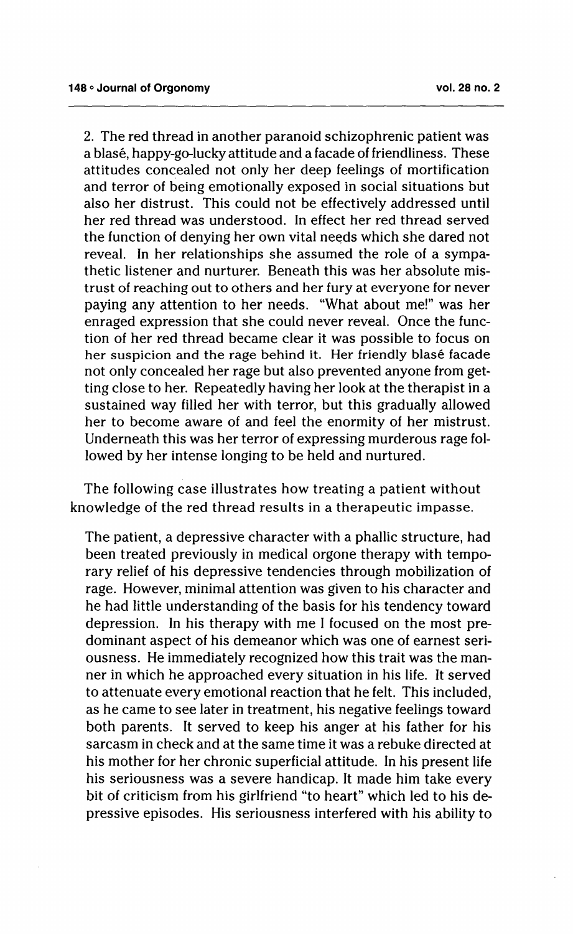2. The red thread in another paranoid schizophrenic patient was a blase, happy-go-lucky attitude and a facade of friendliness. These attitudes concealed not only her deep feelings of mortification and terror of being emotionally exposed in social situations but also her distrust. This could not be effectively addressed until her red thread was understood. In effect her red thread served the function of denying her own vital needs which she dared not reveal. In her relationships she assumed the role of a sympathetic listener and nurturer. Beneath this was her absolute mistrust of reaching out to others and her fury at everyone for never paying any attention to her needs. "What about me!" was her enraged expression that she could never reveal. Once the function of her red thread became clear it was possible to focus on her suspicion and the rage behind it. Her friendly blasé facade not only concealed her rage but also prevented anyone from getting close to her. Repeatedly having her look at the therapist in a sustained way filled her with terror, but this gradually allowed her to become aware of and feel the enormity of her mistrust. Underneath this was her terror of expressing murderous rage followed by her intense longing to be held and nurtured.

The following case illustrates how treating a patient without knowledge of the red thread results in a therapeutic impasse.

The patient, a depressive character with a phallic structure, had been treated previously in medical orgone therapy with temporary relief of his depressive tendencies through mobilization of rage. However, minimal attention was given to his character and he had little understanding of the basis for his tendency toward depression. In his therapy with me I focused on the most predominant aspect of his demeanor which was one of earnest seriousness. He immediately recognized how this trait was the manner in which he approached every situation in his life. It served to attenuate every emotional reaction that he felt. This included, as he came to see later in treatment, his negative feelings toward both parents. It served to keep his anger at his father for his sarcasm in check and at the same time it was a rebuke directed at his mother for her chronic superficial attitude. In his present life his seriousness was a severe handicap. It made him take every bit of criticism from his girlfriend "to heart" which led to his depressive episodes. His seriousness interfered with his ability to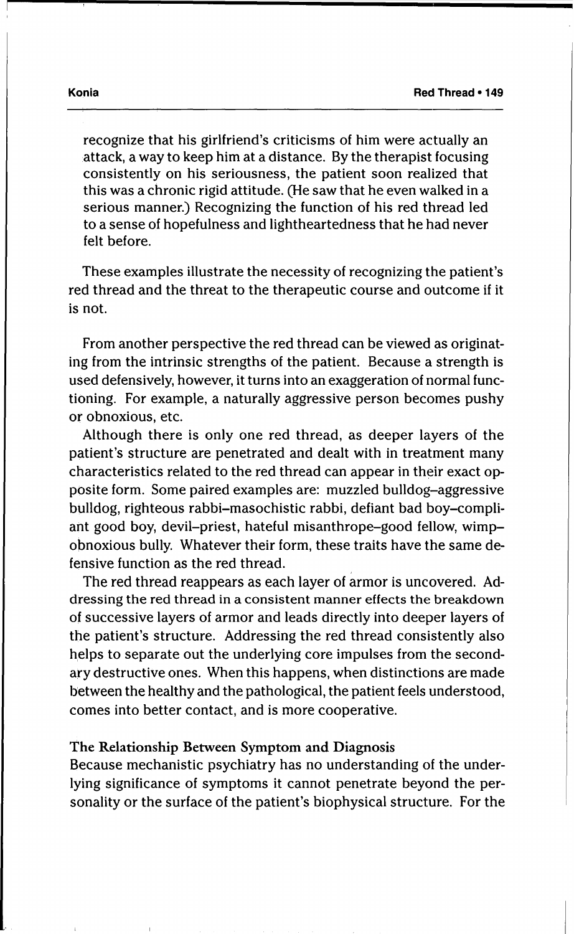recognize that his girlfriend's criticisms of him were actually an attack, a way to keep him at a distance. By the therapist focusing consistently on his seriousness, the patient soon realized that this was a chronic rigid attitude. (He saw that he even walked in a serious manner.) Recognizing the function of his red thread led to a sense of hopefulness and lightheartedness that he had never felt before.

These examples illustrate the necessity of recognizing the patient's red thread and the threat to the therapeutic course and outcome if it is not.

From another perspective the red thread can be viewed as originating from the intrinsic strengths of the patient. Because a strength is used defensively, however, it turns into an exaggeration of normal functioning. For example, a naturally aggressive person becomes pushy or obnoxious, etc.

Although there is only one red thread, as deeper layers of the patient's structure are penetrated and dealt with in treatment many characteristics related to the red thread can appear in their exact opposite form. Some paired examples are: muzzled bulldog-aggressive bulldog, righteous rabbi-masochistic rabbi, defiant bad boy-compliant good boy, devil-priest, hateful misanthrope-good fellow, wimpobnoxious bully. Whatever their form, these traits have the same defensive function as the red thread.

The red thread reappears as each layer of armor is uncovered. Addressing the red thread in a consistent manner effects the breakdown of successive layers of armor and leads directly into deeper layers of the patient's structure. Addressing the red thread consistently also helps to separate out the underlying core impulses from the secondary destructive ones. When this happens, when distinctions are made between the healthy and the pathological, the patient feels understood, comes into better contact, and is more cooperative.

#### The Relationship Between Symptom and Diagnosis

Because mechanistic psychiatry has no understanding of the underlying significance of symptoms it cannot penetrate beyond the personality or the surface of the patient's biophysical structure. For the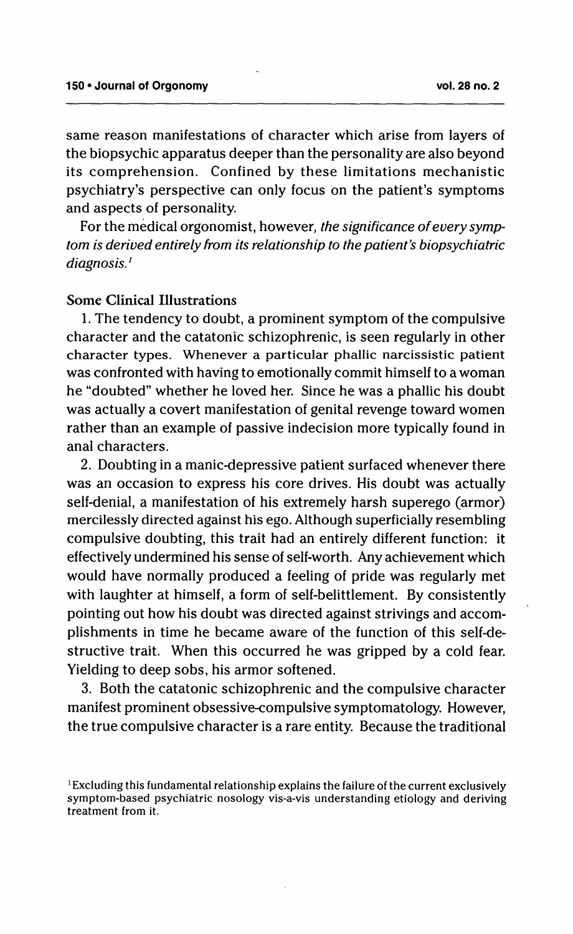same reason manifestations of character which arise from layers of the biopsychic apparatus deeper than the personality are also beyond its comprehension. Confined by these limitations mechanistic psychiatry's perspective can only focus on the patient's symptoms and aspects of personality.

For the medical orgonomist, however, the significance of every symptom is derived entirely from its relationship to the patient's biopsychiatric diagnosis.<sup>1</sup>

#### Some Clinical Illustrations

1. The tendency to doubt, a prominent symptom of the compulsive character and the catatonic schizophrenic, is seen regularly in other character types. Whenever a particular phallic narcissistic patient was confronted with having to emotionally commit himself to a woman he "doubted" whether he loved her. Since he was a phallic his doubt was actually a covert manifestation of genital revenge toward women rather than an example of passive indecision more typically found in anal characters.

2. Doubting in a manic-depressive patient surfaced whenever there was an occasion to express his core drives. His doubt was actually self-denial, a manifestation of his extremely harsh superego (armor) mercilessly directed against his ego. Although superficially resembling compulsive doubting, this trait had an entirely different function: it effectively undermined his sense of self-worth. Anyachievement which would have normally produced a feeling of pride was regularly met with laughter at himself, a form of self-belittlement. By consistently pointing out how his doubt was directed against strivings and accomplishments in time he became aware of the function of this self-destructive trait. When this occurred he was gripped by a cold fear. Yielding to deep sobs, his armor softened.

3. Both the catatonic schizophrenic and the compulsive character manifest prominent obsessive-compulsive symptomatology. However, the true compulsive character is a rare entity. Because the traditional

<sup>&</sup>lt;sup>1</sup> Excluding this fundamental relationship explains the failure of the current exclusively symptom-based psychiatric nosology vis-a-vis understanding etiology and deriving treatment from it.